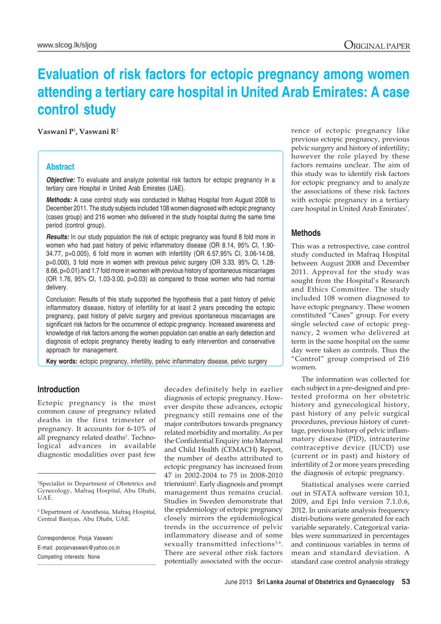# **Evaluation of risk factors for ectopic pregnancy among women attending a tertiary care hospital in United Arab Emirates: A case control study**

**Vaswani P**<sup>1</sup> **, Vaswani R**<sup>2</sup>

## **Abstract**

*Objective:* To evaluate and analyze potential risk factors for ectopic pregnancy in a tertiary care Hospital in United Arab Emirates (UAE).

*Methods:* A case control study was conducted in Mafraq Hospital from August 2008 to December 2011. The study subjects included 108 women diagnosed with ectopic pregnancy (cases group) and 216 women who delivered in the study hospital during the same time period (control group).

*Results:* In our study population the risk of ectopic pregnancy was found 8 fold more in women who had past history of pelvic inflammatory disease (OR 8.14, 95% CI, 1.90- 34.77, p=0.005), 6 fold more in women with infertility (OR 6.57,95% CI, 3.06-14.08, p=0.000), 3 fold more in women with previous pelvic surgery (OR 3.33, 95% CI, 1.28- 8.66, p=0.01) and 1.7 fold more in women with previous history of spontaneous miscarriages (OR 1.76, 95% CI, 1.03-3.00, p=0.03) as compared to those women who had normal delivery.

Conclusion: Results of this study supported the hypothesis that a past history of pelvic inflammatory disease, history of infertility for at least 2 years preceding the ectopic pregnancy, past history of pelvic surgery and previous spontaneous miscarriages are significant risk factors for the occurrence of ectopic pregnancy. Increased awareness and knowledge of risk factors among the women population can enable an early detection and diagnosis of ectopic pregnancy thereby leading to early intervention and conservative approach for management.

**Key words:** ectopic pregnancy, infertility, pelvic inflammatory disease, pelvic surgery

## **Introduction**

Ectopic pregnancy is the most common cause of pregnancy related deaths in the first trimester of pregnancy. It accounts for 6-10% of all pregnancy related deaths<sup>1</sup>. Technological advances in available diagnostic modalities over past few

1Specialist in Department of Obstetrics and Gynecology, Mafraq Hospital, Abu Dhabi, UAE.

2 Department of Anesthesia, Mafraq Hospital, Central Baniyas, Abu Dhabi, UAE.

Correspondence: Pooja Vaswani E-mail: poojarvaswani@yahoo.co.in Competing interests: None

decades definitely help in earlier diagnosis of ectopic pregnancy. However despite these advances, ectopic pregnancy still remains one of the major contributors towards pregnancy related morbidity and mortality. As per the Confidential Enquiry into Maternal and Child Health (CEMACH) Report, the number of deaths attributed to ectopic pregnancy has increased from 47 in 2002-2004 to 75 in 2008-2010 triennium2 . Early diagnosis and prompt management thus remains crucial. Studies in Sweden demonstrate that the epidemiology of ectopic pregnancy closely mirrors the epidemiological trends in the occurrence of pelvic inflammatory disease and of some sexually transmitted infections<sup>3,4</sup>. There are several other risk factors potentially associated with the occurrence of ectopic pregnancy like previous ectopic pregnancy, previous pelvic surgery and history of infertility; however the role played by these factors remains unclear. The aim of this study was to identify risk factors for ectopic pregnancy and to analyze the associations of these risk factors with ectopic pregnancy in a tertiary care hospital in United Arab Emirates'.

# **Methods**

This was a retrospective, case control study conducted in Mafraq Hospital between August 2008 and December 2011. Approval for the study was sought from the Hospital's Research and Ethics Committee. The study included 108 women diagnosed to have ectopic pregnancy. These women constituted "Cases" group. For every single selected case of ectopic pregnancy, 2 women who delivered at term in the same hospital on the same day were taken as controls. Thus the "Control" group comprised of 216 women.

The information was collected for each subject in a pre-designed and pretested proforma on her obstetric history and gynecological history, past history of any pelvic surgical procedures, previous history of curettage, previous history of pelvic inflammatory disease (PID), intrauterine contraceptive device (IUCD) use (current or in past) and history of infertility of 2 or more years preceding the diagnosis of ectopic pregnancy.

Statistical analyses were carried out in STATA software version 10.1, 2009, and Epi Info version 7.1.0.6, 2012. In univariate analysis frequency distri-butions were generated for each variable separately. Categorical variables were summarized in percentages and continuous variables in terms of mean and standard deviation. A standard case control analysis strategy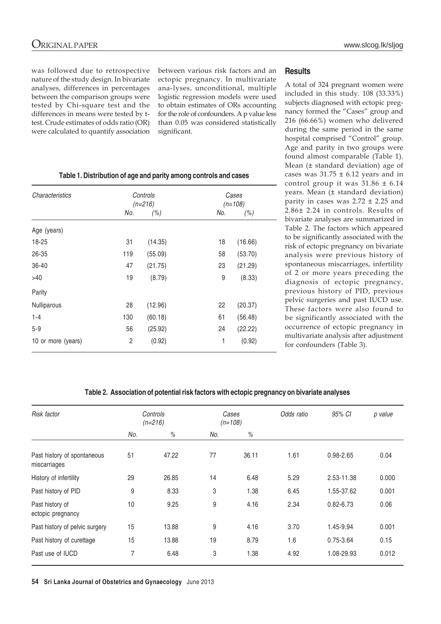was followed due to retrospective nature of the study design. In bivariate analyses, differences in percentages between the comparison groups were tested by Chi-square test and the differences in means were tested by ttest. Crude estimates of odds ratio (OR) were calculated to quantify association between various risk factors and an ectopic pregnancy. In multivariate ana-lyses, unconditional, multiple logistic regression models were used to obtain estimates of ORs accounting for the role of confounders. A p value less than 0.05 was considered statistically significant.

# **Table 1. Distribution of age and parity among controls and cases**

| Characteristics    | Controls<br>$(n=216)$ |         |     | Cases<br>$(n=108)$ |  |
|--------------------|-----------------------|---------|-----|--------------------|--|
|                    | No.                   | (%)     | No. | (%)                |  |
| Age (years)        |                       |         |     |                    |  |
| 18-25              | 31                    | (14.35) | 18  | (16.66)            |  |
| 26-35              | 119                   | (55.09) | 58  | (53.70)            |  |
| $36 - 40$          | 47                    | (21.75) | 23  | (21.29)            |  |
| >40                | 19                    | (8.79)  | 9   | (8.33)             |  |
| Parity             |                       |         |     |                    |  |
| Nulliparous        | 28                    | (12.96) | 22  | (20.37)            |  |
| $1 - 4$            | 130                   | (60.18) | 61  | (56.48)            |  |
| $5 - 9$            | 56                    | (25.92) | 24  | (22.22)            |  |
| 10 or more (years) | 2                     | (0.92)  | 1   | (0.92)             |  |

## **Results**

A total of 324 pregnant women were included in this study. 108 (33.33%) subjects diagnosed with ectopic pregnancy formed the "Cases" group and 216 (66.66%) women who delivered during the same period in the same hospital comprised "Control" group. Age and parity in two groups were found almost comparable (Table 1). Mean (± standard deviation) age of cases was  $31.75 \pm 6.12$  years and in control group it was  $31.86 \pm 6.14$ years. Mean (± standard deviation) parity in cases was  $2.72 \pm 2.25$  and 2.86± 2.24 in controls. Results of bivariate analyses are summarized in Table 2. The factors which appeared to be significantly associated with the risk of ectopic pregnancy on bivariate analysis were previous history of spontaneous miscarriages, infertility of 2 or more years preceding the diagnosis of ectopic pregnancy, previous history of PID, previous pelvic surgeries and past IUCD use. These factors were also found to be significantly associated with the occurrence of ectopic pregnancy in multivariate analysis after adjustment for confounders (Table 3).

## **Table 2. Association of potential risk factors with ectopic pregnancy on bivariate analyses**

| Risk factor                                 | Controls<br>$(n=216)$ |       | Cases<br>$(n=108)$ |       | Odds ratio | 95% CI        | p value |
|---------------------------------------------|-----------------------|-------|--------------------|-------|------------|---------------|---------|
|                                             | No.                   | %     | No.                | $\%$  |            |               |         |
| Past history of spontaneous<br>miscarriages | 51                    | 47.22 | 77                 | 36.11 | 1.61       | 0.98-2.65     | 0.04    |
| History of infertility                      | 29                    | 26.85 | 14                 | 6.48  | 5.29       | 2.53-11.38    | 0.000   |
| Past history of PID                         | 9                     | 8.33  | 3                  | 1.38  | 6.45       | 1.55-37.62    | 0.001   |
| Past history of<br>ectopic pregnancy        | 10                    | 9.25  | 9                  | 4.16  | 2.34       | $0.82 - 6.73$ | 0.06    |
| Past history of pelvic surgery              | 15                    | 13.88 | 9                  | 4.16  | 3.70       | 1.45-9.94     | 0.001   |
| Past history of curettage                   | 15                    | 13.88 | 19                 | 8.79  | 1.6        | 0.75-3.64     | 0.15    |
| Past use of IUCD                            | 7                     | 6.48  | 3                  | 1.38  | 4.92       | 1.08-29.93    | 0.012   |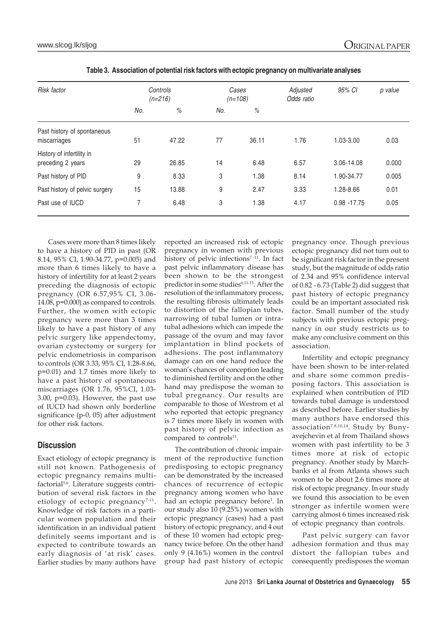| <b>Risk factor</b>                             | Controls<br>$(n=216)$ |       | Cases<br>$(n=108)$ |       | Adjusted<br>Odds ratio | 95% CI         | p value |
|------------------------------------------------|-----------------------|-------|--------------------|-------|------------------------|----------------|---------|
|                                                | No.                   | $\%$  | No.                | $\%$  |                        |                |         |
| Past history of spontaneous<br>miscarriages    | 51                    | 47.22 | 77                 | 36.11 | 1.76                   | 1.03-3.00      | 0.03    |
| History of infertility in<br>preceding 2 years | 29                    | 26.85 | 14                 | 6.48  | 6.57                   | 3.06-14.08     | 0.000   |
| Past history of PID                            | 9                     | 8.33  | 3                  | 1.38  | 8.14                   | 1.90-34.77     | 0.005   |
| Past history of pelvic surgery                 | 15                    | 13.88 | 9                  | 2.47  | 3.33                   | 1.28-8.66      | 0.01    |
| Past use of IUCD                               | 7                     | 6.48  | 3                  | 1.38  | 4.17                   | $0.98 - 17.75$ | 0.05    |

| Table 3. Association of potential risk factors with ectopic pregnancy on multivariate analyses |  |
|------------------------------------------------------------------------------------------------|--|
|                                                                                                |  |

Cases were more than 8 times likely to have a history of PID in past (OR 8.14, 95% CI, 1.90-34.77, p=0.005) and more than 6 times likely to have a history of infertility for at least 2 years preceding the diagnosis of ectopic pregnancy (OR 6.57,95% CI, 3.06- 14.08, p=0.000) as compared to controls. Further, the women with ectopic pregnancy were more than 3 times likely to have a past history of any pelvic surgery like appendectomy, ovarian cystectomy or surgery for pelvic endometriosis in comparison to controls (OR 3.33, 95% CI, 1.28-8.66, p=0.01) and 1.7 times more likely to have a past history of spontaneous miscarriages (OR 1.76, 95%CI, 1.03- 3.00, p=0.03). However, the past use of IUCD had shown only borderline significance (p-0, 05) after adjustment for other risk factors.

# **Discussion**

Exact etiology of ectopic pregnancy is still not known. Pathogenesis of ectopic pregnancy remains multifactorial5,6. Literature suggests contribution of several risk factors in the etiology of ectopic pregnancy<sup>7-11</sup>. Knowledge of risk factors in a particular women population and their identification in an individual patient definitely seems important and is expected to contribute towards an early diagnosis of 'at risk' cases. Earlier studies by many authors have

reported an increased risk of ectopic pregnancy in women with previous history of pelvic infections<sup>7-11</sup>. In fact past pelvic inflammatory disease has been shown to be the strongest predictor in some studies<sup>6,11-13</sup>. After the resolution of the inflammatory process, the resulting fibrosis ultimately leads to distortion of the fallopian tubes, narrowing of tubal lumen or intratubal adhesions which can impede the passage of the ovum and may favor implantation in blind pockets of adhesions. The post inflammatory damage can on one hand reduce the woman's chances of conception leading to diminished fertility and on the other hand may predispose the woman to tubal pregnancy. Our results are comparable to those of Westrom et al who reported that ectopic pregnancy is 7 times more likely in women with past history of pelvic infection as compared to controls<sup>11</sup>.

The contribution of chronic impairment of the reproductive function predisposing to ectopic pregnancy can be demonstrated by the increased chances of recurrence of ectopic pregnancy among women who have had an ectopic pregnancy before<sup>1</sup>. In our study also 10 (9.25%) women with ectopic pregnancy (cases) had a past history of ectopic pregnancy, and 4 out of these 10 women had ectopic pregnancy twice before. On the other hand only 9 (4.16%) women in the control group had past history of ectopic

pregnancy once. Though previous ectopic pregnancy did not turn out to be significant risk factor in the present study, but the magnitude of odds ratio of 2.34 and 95% confidence interval of 0.82 - 6.73 (Table 2) did suggest that past history of ectopic pregnancy could be an important associated risk factor. Small number of the study subjects with previous ectopic pregnancy in our study restricts us to make any conclusive comment on this association.

Infertility and ectopic pregnancy have been shown to be inter-related and share some common predisposing factors. This association is explained when contribution of PID towards tubal damage is understood as described before. Earlier studies by many authors have endorsed this association7,8,10,14. Study by Bunyavejchevin et al from Thailand shows women with past infertility to be 3 times more at risk of ectopic pregnancy. Another study by Marchbanks et al from Atlanta shows such women to be about 2.6 times more at risk of ectopic pregnancy. In our study we found this association to be even stronger as infertile women were carrying almost 6 times increased risk of ectopic pregnancy than controls.

Past pelvic surgery can favor adhesion formation and thus may distort the fallopian tubes and consequently predisposes the woman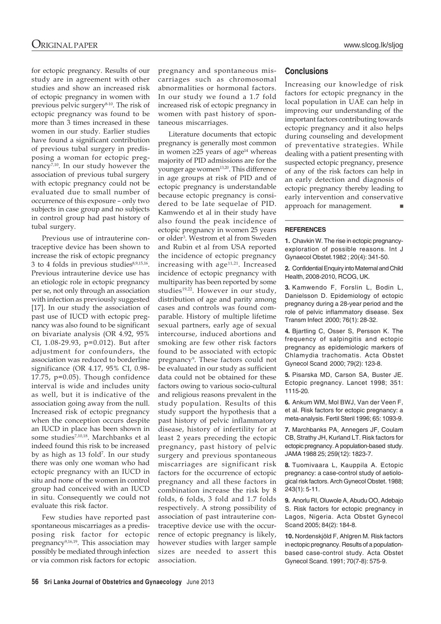for ectopic pregnancy. Results of our study are in agreement with other studies and show an increased risk of ectopic pregnancy in women with previous pelvic surgery<sup>8-10</sup>. The risk of ectopic pregnancy was found to be more than 3 times increased in these women in our study. Earlier studies have found a significant contribution of previous tubal surgery in predisposing a woman for ectopic pregnancy $^{7,10}$ . In our study however the association of previous tubal surgery with ectopic pregnancy could not be evaluated due to small number of occurrence of this exposure – only two subjects in case group and no subjects in control group had past history of tubal surgery.

Previous use of intrauterine contraceptive device has been shown to increase the risk of ectopic pregnancy 3 to 4 folds in previous studies<sup>8,9,15,16</sup>. Previous intrauterine device use has an etiologic role in ectopic pregnancy per se, not only through an association with infection as previously suggested [17]. In our study the association of past use of IUCD with ectopic pregnancy was also found to be significant on bivariate analysis (OR 4.92, 95% CI, 1.08-29.93, p=0.012). But after adjustment for confounders, the association was reduced to borderline significance (OR 4.17, 95% CI, 0.98- 17.75, p=0.05). Though confidence interval is wide and includes unity as well, but it is indicative of the association going away from the null. Increased risk of ectopic pregnancy when the conception occurs despite an IUCD in place has been shown in some studies7,10,18. Marchbanks et al indeed found this risk to be increased by as high as 13 fold<sup>7</sup>. In our study there was only one woman who had ectopic pregnancy with an IUCD in situ and none of the women in control group had conceived with an IUCD in situ. Consequently we could not evaluate this risk factor.

Few studies have reported past spontaneous miscarriages as a predisposing risk factor for ectopic pregnancy<sup>9,16,19</sup>. This association may possibly be mediated through infection or via common risk factors for ectopic

pregnancy and spontaneous miscarriages such as chromosomal abnormalities or hormonal factors. In our study we found a 1.7 fold increased risk of ectopic pregnancy in women with past history of spontaneous miscarriages.

Literature documents that ectopic pregnancy is generally most common in women ≥25 years of age<sup>14</sup> whereas majority of PID admissions are for the younger age women<sup>13,20</sup>. This difference in age groups at risk of PID and of ectopic pregnancy is understandable because ectopic pregnancy is considered to be late sequelae of PID. Kamwendo et al in their study have also found the peak incidence of ectopic pregnancy in women 25 years or older3 . Westrom et al from Sweden and Rubin et al from USA reported the incidence of ectopic pregnancy increasing with  $age^{11,21}$ . Increased incidence of ectopic pregnancy with multiparity has been reported by some studies<sup>19,22</sup>. However in our study, distribution of age and parity among cases and controls was found comparable. History of multiple lifetime sexual partners, early age of sexual intercourse, induced abortions and smoking are few other risk factors found to be associated with ectopic pregnancy<sup>9</sup>. These factors could not be evaluated in our study as sufficient data could not be obtained for these factors owing to various socio-cultural and religious reasons prevalent in the study population. Results of this study support the hypothesis that a past history of pelvic inflammatory disease, history of infertility for at least 2 years preceding the ectopic pregnancy, past history of pelvic surgery and previous spontaneous miscarriages are significant risk factors for the occurrence of ectopic pregnancy and all these factors in combination increase the risk by 8 folds, 6 folds, 3 fold and 1.7 folds respectively. A strong possibility of association of past intrauterine contraceptive device use with the occurrence of ectopic pregnancy is likely, however studies with larger sample sizes are needed to assert this association.

## **Conclusions**

Increasing our knowledge of risk factors for ectopic pregnancy in the local population in UAE can help in improving our understanding of the important factors contributing towards ectopic pregnancy and it also helps during counseling and development of preventative strategies. While dealing with a patient presenting with suspected ectopic pregnancy, presence of any of the risk factors can help in an early detection and diagnosis of ectopic pregnancy thereby leading to early intervention and conservative<br>approach for management. approach for management.

#### **REFERENCES**

**1.** Chavkin W. The rise in ectopic pregnancyexploration of possible reasons. Int J Gynaecol Obstet.1982 ; 20(4): 341-50.

**2.** Confidential Enquiry into Maternal and Child Health, 2008-2010, RCOG, UK.

**3.** Kamwendo F, Forslin L, Bodin L, Danielsson D. Epidemiology of ectopic pregnancy during a 28-year period and the role of pelvic inflammatory disease. Sex Transm Infect 2000; 76(1): 28-32.

**4.** Bjartling C, Osser S, Persson K. The frequency of salpingitis and ectopic pregnancy as epidemiologic markers of Chlamydia trachomatis. Acta Obstet Gynecol Scand 2000; 79(2): 123-8.

**5.** Pisarska MD, Carson SA, Buster JE. Ectopic pregnancy. Lancet 1998; 351: 1115-20.

**6.** Ankum WM, Mol BWJ, Van der Veen F, et al. Risk factors for ectopic pregnancy: a meta-analysis. Fertil Steril 1996; 65: 1093-9.

**7.** Marchbanks PA, Annegers JF, Coulam CB, Strathy JH, Kurland LT. Risk factors for ectopic pregnancy. A population-based study. JAMA 1988 25; 259(12): 1823-7.

**8.** Tuomivaara L, Kauppila A. Ectopic pregnancy: a case-control study of aetiological risk factors. Arch Gynecol Obstet. 1988; 243(1): 5-11.

**9.** Anorlu RI, Oluwole A, Abudu OO, Adebajo S. Risk factors for ectopic pregnancy in Lagos, Nigeria. Acta Obstet Gynecol Scand 2005; 84(2): 184-8.

**10.** Nordenskjöld F, Ahlgren M. Risk factors in ectopic pregnancy. Results of a populationbased case-control study. Acta Obstet Gynecol Scand. 1991; 70(7-8): 575-9.